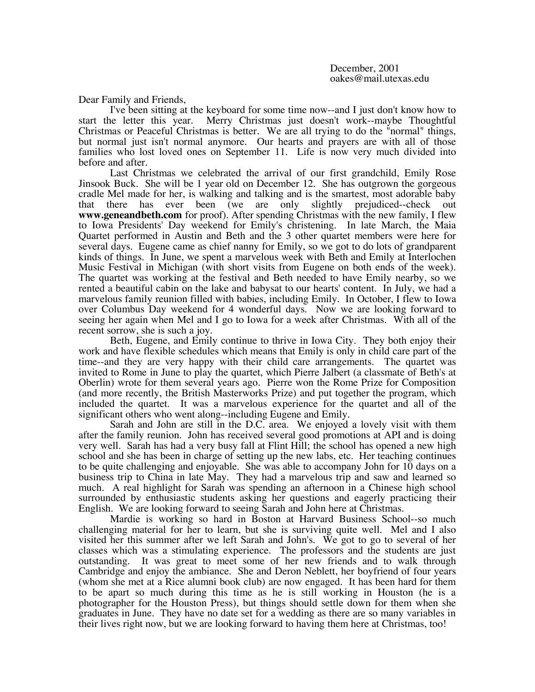Dear Family and Friends,

I've been sitting at the keyboard for some time now--and I just don't know how to start the letter this year. Merry Christmas just doesn't work--maybe Thoughtful Merry Christmas just doesn't work--maybe Thoughtful Christmas or Peaceful Christmas is better. We are all trying to do the "normal" things, but normal just isn't normal anymore. Our hearts and prayers are with all of those families who lost loved ones on September 11. Life is now very much divided into before and after.

Last Christmas we celebrated the arrival of our first grandchild, Emily Rose Jinsook Buck. She will be 1 year old on December 12. She has outgrown the gorgeous cradle Mel made for her, is walking and talking and is the smartest, most adorable baby<br>that there has ever been (we are only slightly prejudiced-check out that there has ever been (we are only slightly prejudiced--check out **www.geneandbeth.com** for proof). After spending Christmas with the new family, I flew to Iowa Presidents' Day weekend for Emily's christening. In late March, the Maia Quartet performed in Austin and Beth and the 3 other quartet members were here for several days. Eugene came as chief nanny for Emily, so we got to do lots of grandparent kinds of things. In June, we spent a marvelous week with Beth and Emily at Interlochen Music Festival in Michigan (with short visits from Eugene on both ends of the week). The quartet was working at the festival and Beth needed to have Emily nearby, so we rented a beautiful cabin on the lake and babysat to our hearts' content. In July, we had a marvelous family reunion filled with babies, including Emily. In October, I flew to Iowa over Columbus Day weekend for 4 wonderful days. Now we are looking forward to seeing her again when Mel and I go to Iowa for a week after Christmas. With all of the recent sorrow, she is such a joy.

Beth, Eugene, and Emily continue to thrive in Iowa City. They both enjoy their work and have flexible schedules which means that Emily is only in child care part of the time--and they are very happy with their child care arrangements. The quartet was invited to Rome in June to play the quartet, which Pierre Jalbert (a classmate of Beth's at Oberlin) wrote for them several years ago. Pierre won the Rome Prize for Composition (and more recently, the British Masterworks Prize) and put together the program, which included the quartet. It was a marvelous experience for the quartet and all of the significant others who went along--including Eugene and Emily.

Sarah and John are still in the D.C. area. We enjoyed a lovely visit with them after the family reunion. John has received several good promotions at API and is doing very well. Sarah has had a very busy fall at Flint Hill; the school has opened a new high school and she has been in charge of setting up the new labs, etc. Her teaching continues to be quite challenging and enjoyable. She was able to accompany John for 10 days on a business trip to China in late May. They had a marvelous trip and saw and learned so much. A real highlight for Sarah was spending an afternoon in a Chinese high school surrounded by enthusiastic students asking her questions and eagerly practicing their English. We are looking forward to seeing Sarah and John here at Christmas.

Mardie is working so hard in Boston at Harvard Business School--so much challenging material for her to learn, but she is surviving quite well. Mel and I also visited her this summer after we left Sarah and John's. We got to go to several of her classes which was a stimulating experience. The professors and the students are just outstanding. It was great to meet some of her new friends and to walk through Cambridge and enjoy the ambiance. She and Deron Neblett, her boyfriend of four years (whom she met at a Rice alumni book club) are now engaged. It has been hard for them to be apart so much during this time as he is still working in Houston (he is a photographer for the Houston Press), but things should settle down for them when she graduates in June. They have no date set for a wedding as there are so many variables in their lives right now, but we are looking forward to having them here at Christmas, too!